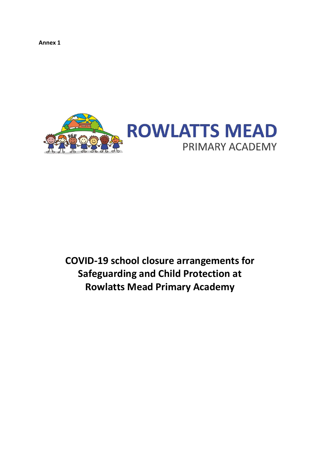**Annex 1**



# **COVID-19 school closure arrangements for Safeguarding and Child Protection at Rowlatts Mead Primary Academy**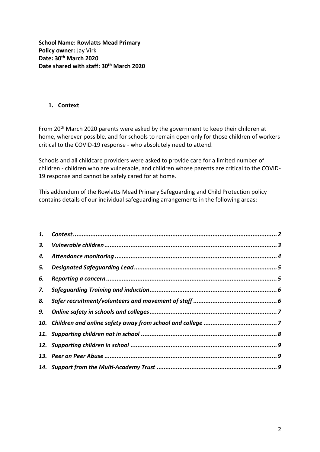**School Name: Rowlatts Mead Primary Policy owner:** Jay Virk **Date: 30th March 2020 Date shared with staff: 30th March 2020**

## <span id="page-1-0"></span>**1. Context**

From 20<sup>th</sup> March 2020 parents were asked by the government to keep their children at home, wherever possible, and for schools to remain open only for those children of workers critical to the COVID-19 response - who absolutely need to attend.

Schools and all childcare providers were asked to provide care for a limited number of children - children who are vulnerable, and children whose parents are critical to the COVID-19 response and cannot be safely cared for at home.

This addendum of the Rowlatts Mead Primary Safeguarding and Child Protection policy contains details of our individual safeguarding arrangements in the following areas: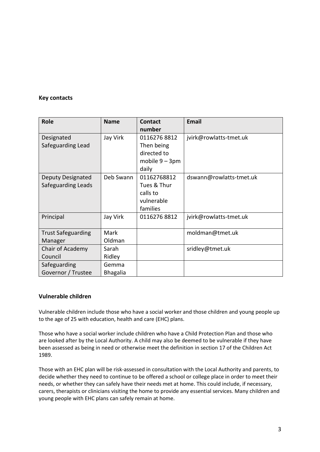#### **Key contacts**

| <b>Role</b>               | <b>Name</b>     | <b>Contact</b><br>number | <b>Email</b>            |
|---------------------------|-----------------|--------------------------|-------------------------|
| Designated                | Jay Virk        | 01162768812              | jvirk@rowlatts-tmet.uk  |
| Safeguarding Lead         |                 | Then being               |                         |
|                           |                 | directed to              |                         |
|                           |                 | mobile $9 - 3$ pm        |                         |
|                           |                 | daily                    |                         |
| <b>Deputy Designated</b>  | Deb Swann       | 01162768812              | dswann@rowlatts-tmet.uk |
| Safeguarding Leads        |                 | Tues & Thur              |                         |
|                           |                 | calls to                 |                         |
|                           |                 | vulnerable               |                         |
|                           |                 | families                 |                         |
| Principal                 | Jay Virk        | 01162768812              | jvirk@rowlatts-tmet.uk  |
| <b>Trust Safeguarding</b> | Mark            |                          | moldman@tmet.uk         |
| Manager                   | Oldman          |                          |                         |
| Chair of Academy          | Sarah           |                          | sridley@tmet.uk         |
| Council                   | Ridley          |                          |                         |
| Safeguarding              | Gemma           |                          |                         |
| Governor / Trustee        | <b>Bhagalia</b> |                          |                         |

#### <span id="page-2-0"></span>**Vulnerable children**

Vulnerable children include those who have a social worker and those children and young people up to the age of 25 with education, health and care (EHC) plans.

Those who have a social worker include children who have a Child Protection Plan and those who are looked after by the Local Authority. A child may also be deemed to be vulnerable if they have been assessed as being in need or otherwise meet the definition in section 17 of the Children Act 1989.

Those with an EHC plan will be risk-assessed in consultation with the Local Authority and parents, to decide whether they need to continue to be offered a school or college place in order to meet their needs, or whether they can safely have their needs met at home. This could include, if necessary, carers, therapists or clinicians visiting the home to provide any essential services. Many children and young people with EHC plans can safely remain at home.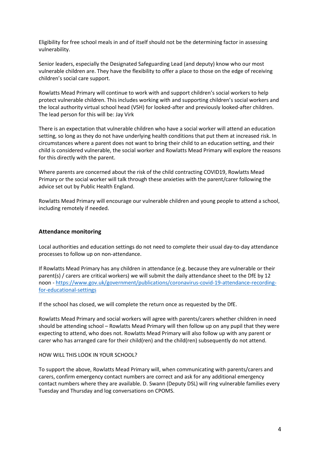Eligibility for free school meals in and of itself should not be the determining factor in assessing vulnerability.

Senior leaders, especially the Designated Safeguarding Lead (and deputy) know who our most vulnerable children are. They have the flexibility to offer a place to those on the edge of receiving children's social care support.

Rowlatts Mead Primary will continue to work with and support children's social workers to help protect vulnerable children. This includes working with and supporting children's social workers and the local authority virtual school head (VSH) for looked-after and previously looked-after children. The lead person for this will be: Jay Virk

There is an expectation that vulnerable children who have a social worker will attend an education setting, so long as they do not have underlying health conditions that put them at increased risk. In circumstances where a parent does not want to bring their child to an education setting, and their child is considered vulnerable, the social worker and Rowlatts Mead Primary will explore the reasons for this directly with the parent.

Where parents are concerned about the risk of the child contracting COVID19, Rowlatts Mead Primary or the social worker will talk through these anxieties with the parent/carer following the advice set out by Public Health England.

Rowlatts Mead Primary will encourage our vulnerable children and young people to attend a school, including remotely if needed.

#### <span id="page-3-0"></span>**Attendance monitoring**

Local authorities and education settings do not need to complete their usual day-to-day attendance processes to follow up on non-attendance.

If Rowlatts Mead Primary has any children in attendance (e.g. because they are vulnerable or their parent(s) / carers are critical workers) we will submit the daily attendance sheet to the DfE by 12 noon - [https://www.gov.uk/government/publications/coronavirus-covid-19-attendance-recording](https://www.gov.uk/government/publications/coronavirus-covid-19-attendance-recording-for-educational-settings)[for-educational-settings](https://www.gov.uk/government/publications/coronavirus-covid-19-attendance-recording-for-educational-settings)

If the school has closed, we will complete the return once as requested by the DfE.

Rowlatts Mead Primary and social workers will agree with parents/carers whether children in need should be attending school – Rowlatts Mead Primary will then follow up on any pupil that they were expecting to attend, who does not. Rowlatts Mead Primary will also follow up with any parent or carer who has arranged care for their child(ren) and the child(ren) subsequently do not attend.

#### HOW WILL THIS LOOK IN YOUR SCHOOL?

To support the above, Rowlatts Mead Primary will, when communicating with parents/carers and carers, confirm emergency contact numbers are correct and ask for any additional emergency contact numbers where they are available. D. Swann (Deputy DSL) will ring vulnerable families every Tuesday and Thursday and log conversations on CPOMS.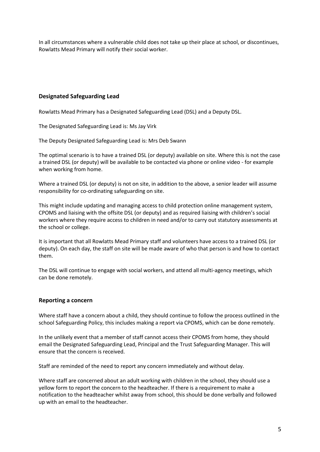In all circumstances where a vulnerable child does not take up their place at school, or discontinues, Rowlatts Mead Primary will notify their social worker.

## <span id="page-4-0"></span>**Designated Safeguarding Lead**

Rowlatts Mead Primary has a Designated Safeguarding Lead (DSL) and a Deputy DSL.

The Designated Safeguarding Lead is: Ms Jay Virk

The Deputy Designated Safeguarding Lead is: Mrs Deb Swann

The optimal scenario is to have a trained DSL (or deputy) available on site. Where this is not the case a trained DSL (or deputy) will be available to be contacted via phone or online video - for example when working from home.

Where a trained DSL (or deputy) is not on site, in addition to the above, a senior leader will assume responsibility for co-ordinating safeguarding on site.

This might include updating and managing access to child protection online management system, CPOMS and liaising with the offsite DSL (or deputy) and as required liaising with children's social workers where they require access to children in need and/or to carry out statutory assessments at the school or college.

It is important that all Rowlatts Mead Primary staff and volunteers have access to a trained DSL (or deputy). On each day, the staff on site will be made aware of who that person is and how to contact them.

The DSL will continue to engage with social workers, and attend all multi-agency meetings, which can be done remotely.

## <span id="page-4-1"></span>**Reporting a concern**

Where staff have a concern about a child, they should continue to follow the process outlined in the school Safeguarding Policy, this includes making a report via CPOMS, which can be done remotely.

In the unlikely event that a member of staff cannot access their CPOMS from home, they should email the Designated Safeguarding Lead, Principal and the Trust Safeguarding Manager. This will ensure that the concern is received.

Staff are reminded of the need to report any concern immediately and without delay.

Where staff are concerned about an adult working with children in the school, they should use a yellow form to report the concern to the headteacher. If there is a requirement to make a notification to the headteacher whilst away from school, this should be done verbally and followed up with an email to the headteacher.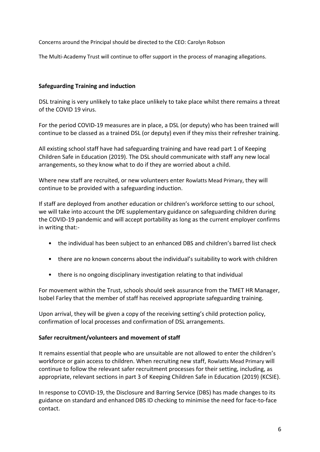Concerns around the Principal should be directed to the CEO: Carolyn Robson

<span id="page-5-0"></span>The Multi-Academy Trust will continue to offer support in the process of managing allegations.

# **Safeguarding Training and induction**

DSL training is very unlikely to take place unlikely to take place whilst there remains a threat of the COVID 19 virus.

For the period COVID-19 measures are in place, a DSL (or deputy) who has been trained will continue to be classed as a trained DSL (or deputy) even if they miss their refresher training.

All existing school staff have had safeguarding training and have read part 1 of Keeping Children Safe in Education (2019). The DSL should communicate with staff any new local arrangements, so they know what to do if they are worried about a child.

Where new staff are recruited, or new volunteers enter Rowlatts Mead Primary, they will continue to be provided with a safeguarding induction.

If staff are deployed from another education or children's workforce setting to our school, we will take into account the DfE supplementary guidance on safeguarding children during the COVID-19 pandemic and will accept portability as long as the current employer confirms in writing that:-

- the individual has been subject to an enhanced DBS and children's barred list check
- there are no known concerns about the individual's suitability to work with children
- there is no ongoing disciplinary investigation relating to that individual

For movement within the Trust, schools should seek assurance from the TMET HR Manager, Isobel Farley that the member of staff has received appropriate safeguarding training.

Upon arrival, they will be given a copy of the receiving setting's child protection policy, confirmation of local processes and confirmation of DSL arrangements.

# <span id="page-5-1"></span>**Safer recruitment/volunteers and movement of staff**

It remains essential that people who are unsuitable are not allowed to enter the children's workforce or gain access to children. When recruiting new staff, Rowlatts Mead Primary will continue to follow the relevant safer recruitment processes for their setting, including, as appropriate, relevant sections in part 3 of Keeping Children Safe in Education (2019) (KCSIE).

In response to COVID-19, the Disclosure and Barring Service (DBS) has made changes to its guidance on standard and enhanced DBS ID checking to minimise the need for face-to-face contact.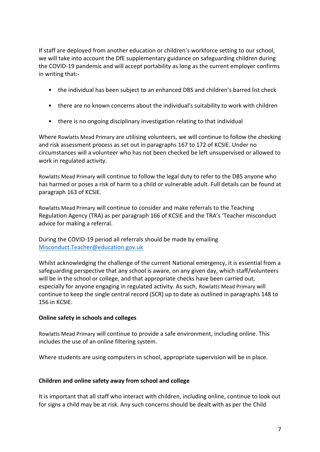If staff are deployed from another education or children's workforce setting to our school, we will take into account the DfE supplementary guidance on safeguarding children during the COVID-19 pandemic and will accept portability as long as the current employer confirms in writing that:-

- the individual has been subject to an enhanced DBS and children's barred list check
- there are no known concerns about the individual's suitability to work with children
- there is no ongoing disciplinary investigation relating to that individual

Where Rowlatts Mead Primary are utilising volunteers, we will continue to follow the checking and risk assessment process as set out in paragraphs 167 to 172 of KCSIE. Under no circumstances will a volunteer who has not been checked be left unsupervised or allowed to work in regulated activity.

Rowlatts Mead Primary will continue to follow the legal duty to refer to the DBS anyone who has harmed or poses a risk of harm to a child or vulnerable adult. Full details can be found at paragraph 163 of KCSIE.

Rowlatts Mead Primary will continue to consider and make referrals to the Teaching Regulation Agency (TRA) as per paragraph 166 of KCSIE and the TRA's 'Teacher misconduct advice for making a referral.

During the COVID-19 period all referrals should be made by emailing [Misconduct.Teacher@education.gov.uk](mailto:Misconduct.Teacher@education.gov.uk)

Whilst acknowledging the challenge of the current National emergency, it is essential from a safeguarding perspective that any school is aware, on any given day, which staff/volunteers will be in the school or college, and that appropriate checks have been carried out, especially for anyone engaging in regulated activity. As such, Rowlatts Mead Primary will continue to keep the single central record (SCR) up to date as outlined in paragraphs 148 to 156 in KCSIE.

# <span id="page-6-0"></span>**Online safety in schools and colleges**

Rowlatts Mead Primary will continue to provide a safe environment, including online. This includes the use of an online filtering system.

Where students are using computers in school, appropriate supervision will be in place.

# <span id="page-6-1"></span>**Children and online safety away from school and college**

It is important that all staff who interact with children, including online, continue to look out for signs a child may be at risk. Any such concerns should be dealt with as per the Child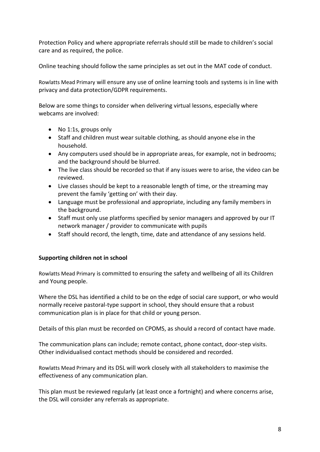Protection Policy and where appropriate referrals should still be made to children's social care and as required, the police.

Online teaching should follow the same principles as set out in the MAT code of conduct.

Rowlatts Mead Primary will ensure any use of online learning tools and systems is in line with privacy and data protection/GDPR requirements.

Below are some things to consider when delivering virtual lessons, especially where webcams are involved:

- No 1:1s, groups only
- Staff and children must wear suitable clothing, as should anyone else in the household.
- Any computers used should be in appropriate areas, for example, not in bedrooms; and the background should be blurred.
- The live class should be recorded so that if any issues were to arise, the video can be reviewed.
- Live classes should be kept to a reasonable length of time, or the streaming may prevent the family 'getting on' with their day.
- Language must be professional and appropriate, including any family members in the background.
- Staff must only use platforms specified by senior managers and approved by our IT network manager / provider to communicate with pupils
- Staff should record, the length, time, date and attendance of any sessions held.

# <span id="page-7-0"></span>**Supporting children not in school**

Rowlatts Mead Primary is committed to ensuring the safety and wellbeing of all its Children and Young people.

Where the DSL has identified a child to be on the edge of social care support, or who would normally receive pastoral-type support in school, they should ensure that a robust communication plan is in place for that child or young person.

Details of this plan must be recorded on CPOMS, as should a record of contact have made.

The communication plans can include; remote contact, phone contact, door-step visits. Other individualised contact methods should be considered and recorded.

Rowlatts Mead Primary and its DSL will work closely with all stakeholders to maximise the effectiveness of any communication plan.

This plan must be reviewed regularly (at least once a fortnight) and where concerns arise, the DSL will consider any referrals as appropriate.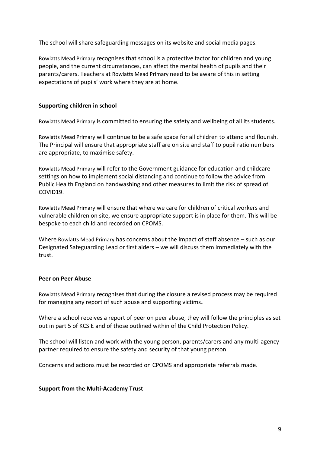The school will share safeguarding messages on its website and social media pages.

Rowlatts Mead Primary recognises that school is a protective factor for children and young people, and the current circumstances, can affect the mental health of pupils and their parents/carers. Teachers at Rowlatts Mead Primary need to be aware of this in setting expectations of pupils' work where they are at home.

## <span id="page-8-0"></span>**Supporting children in school**

Rowlatts Mead Primary is committed to ensuring the safety and wellbeing of all its students.

Rowlatts Mead Primary will continue to be a safe space for all children to attend and flourish. The Principal will ensure that appropriate staff are on site and staff to pupil ratio numbers are appropriate, to maximise safety.

Rowlatts Mead Primary will refer to the Government guidance for education and childcare settings on how to implement social distancing and continue to follow the advice from Public Health England on handwashing and other measures to limit the risk of spread of COVID19.

Rowlatts Mead Primary will ensure that where we care for children of critical workers and vulnerable children on site, we ensure appropriate support is in place for them. This will be bespoke to each child and recorded on CPOMS.

Where Rowlatts Mead Primary has concerns about the impact of staff absence – such as our Designated Safeguarding Lead or first aiders – we will discuss them immediately with the trust.

## <span id="page-8-1"></span>**Peer on Peer Abuse**

Rowlatts Mead Primary recognises that during the closure a revised process may be required for managing any report of such abuse and supporting victims**.** 

Where a school receives a report of peer on peer abuse, they will follow the principles as set out in part 5 of KCSIE and of those outlined within of the Child Protection Policy.

The school will listen and work with the young person, parents/carers and any multi-agency partner required to ensure the safety and security of that young person.

Concerns and actions must be recorded on CPOMS and appropriate referrals made.

## <span id="page-8-2"></span>**Support from the Multi-Academy Trust**